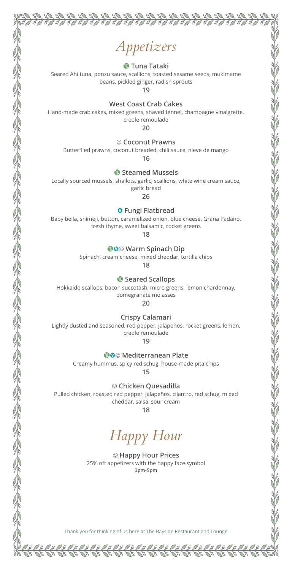# *Appetizers*

 $\overline{\mathcal{J}}$  $\overline{\mathcal{J}}$  90

S S S  $\overline{\mathscr{P}}$ 

TI TI TI TI TI TI TI

#### U **Tuna Tataki**

Seared Ahi tuna, ponzu sauce, scallions, toasted sesame seeds, mukimame beans, pickled ginger, radish sprouts

**19**

**West Coast Crab Cakes**

Hand-made crab cakes, mixed greens, shaved fennel, champagne vinaigrette, creole remoulade

**20**

#### $©$  Coconut Prawns

Butterflied prawns, coconut breaded, chili sauce, nieve de mango

**16**

#### U **Steamed Mussels**

Locally sourced mussels, shallots, garlic, scallions, white wine cream sauce, garlic bread

**26**

#### **O** Fungi Flatbread

Baby bella, shimeji, button, caramelized onion, blue cheese, Grana Padano, fresh thyme, sweet balsamic, rocket greens

**18**

#### **WO** $\circ$  Warm Spinach Dip

Spinach, cream cheese, mixed cheddar, tortilla chips

**18**

#### U **Seared Scallops**

Hokkaido scallops, bacon succotash, micro greens, lemon chardonnay, pomegranate molasses

**20**

#### **Crispy Calamari**

Lightly dusted and seasoned, red pepper, jalapeños, rocket greens, lemon, creole remoulade

**19**

#### **WO**© Mediterranean Plate

Creamy hummus, spicy red schug, house-made pita chips

**15**

#### $\circledcirc$  Chicken Quesadilla

Pulled chicken, roasted red pepper, jalapeños, cilantro, red schug, mixed cheddar, salsa, sour cream

**18**

## *Happy Hour*

 $@$  Happy Hour Prices 25% off appetizers with the happy face symbol **3pm-5pm**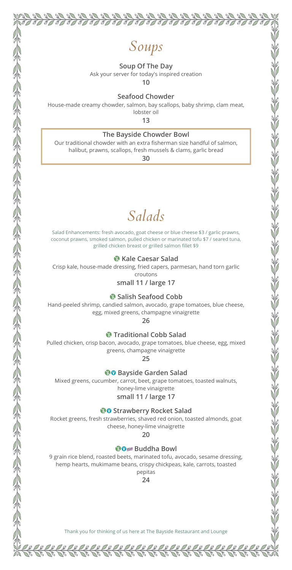

### *Soups*

 $\overline{\mathscr{J}}$  $\overline{\mathcal{J}}$ 

T

TIJIJIJIJID

 $\sqrt{d}$ 

#### **Soup Of The Day**

Ask your server for today's inspired creation

**10**

**Seafood Chowder**

House-made creamy chowder, salmon, bay scallops, baby shrimp, clam meat,

lobster oil **13**

#### **The Bayside Chowder Bowl**

Our traditional chowder with an extra fisherman size handful of salmon, halibut, prawns, scallops, fresh mussels & clams, garlic bread

**30**

### *Salads*

Salad Enhancements: fresh avocado, goat cheese or blue cheese \$3 / garlic prawns, coconut prawns, smoked salmon, pulled chicken or marinated tofu \$7 / seared tuna, grilled chicken breast or grilled salmon fillet \$9

#### U **Kale Caesar Salad**

Crisp kale, house-made dressing, fried capers, parmesan, hand torn garlic croutons

**small 11 / large 17**

#### U **Salish Seafood Cobb**

Hand-peeled shrimp, candied salmon, avocado, grape tomatoes, blue cheese, egg, mixed greens, champagne vinaigrette

**26**

**Traditional Cobb Salad** 

Pulled chicken, crisp bacon, avocado, grape tomatoes, blue cheese, egg, mixed greens, champagne vinaigrette

**25**

*<b>@O* Bayside Garden Salad

Mixed greens, cucumber, carrot, beet, grape tomatoes, toasted walnuts, honey-lime vinaigrette

#### **small 11 / large 17**

*<b>WO* Strawberry Rocket Salad

Rocket greens, fresh strawberries, shaved red onion, toasted almonds, goat cheese, honey-lime vinaigrette

**20**

#### **WORKHOOK** Buddha Bowl

9 grain rice blend, roasted beets, marinated tofu, avocado, sesame dressing, hemp hearts, mukimame beans, crispy chickpeas, kale, carrots, toasted pepitas

**24**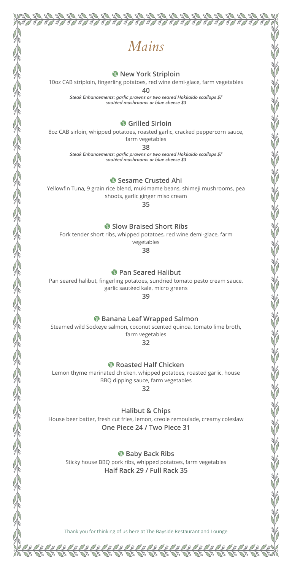### *Mains*

90 90

 $\mathbb{Z}$  $\mathscr{D}$ 

 $\overline{\mathscr{P}}$ T

S  $\overline{\mathscr{P}}$ I

#### U **New York Striploin**

10oz CAB striploin, fingerling potatoes, red wine demi-glace, farm vegetables

**40**

*Steak Enhancements: garlic prawns or two seared Hokkaido scallops \$7 sautéed mushrooms or blue cheese \$3*

U **Grilled Sirloin**

8oz CAB sirloin, whipped potatoes, roasted garlic, cracked peppercorn sauce, farm vegetables

**38**

*Steak Enhancements: garlic prawns or two seared Hokkaido scallops \$7 sautéed mushrooms or blue cheese \$3*

U **Sesame Crusted Ahi**

Yellowfin Tuna, 9 grain rice blend, mukimame beans, shimeji mushrooms, pea shoots, garlic ginger miso cream

**35**

U **Slow Braised Short Ribs**

Fork tender short ribs, whipped potatoes, red wine demi-glace, farm vegetables

**38**

U **Pan Seared Halibut**

Pan seared halibut, fingerling potatoes, sundried tomato pesto cream sauce, garlic sautéed kale, micro greens

**39**

U **Banana Leaf Wrapped Salmon**

Steamed wild Sockeye salmon, coconut scented quinoa, tomato lime broth, farm vegetables

**32**

U **Roasted Half Chicken**

Lemon thyme marinated chicken, whipped potatoes, roasted garlic, house BBQ dipping sauce, farm vegetables

**32**

**Halibut & Chips**

House beer batter, fresh cut fries, lemon, creole remoulade, creamy coleslaw **One Piece 24 / Two Piece 31**

U **Baby Back Ribs** Sticky house BBQ pork ribs, whipped potatoes, farm vegetables **Half Rack 29 / Full Rack 35**